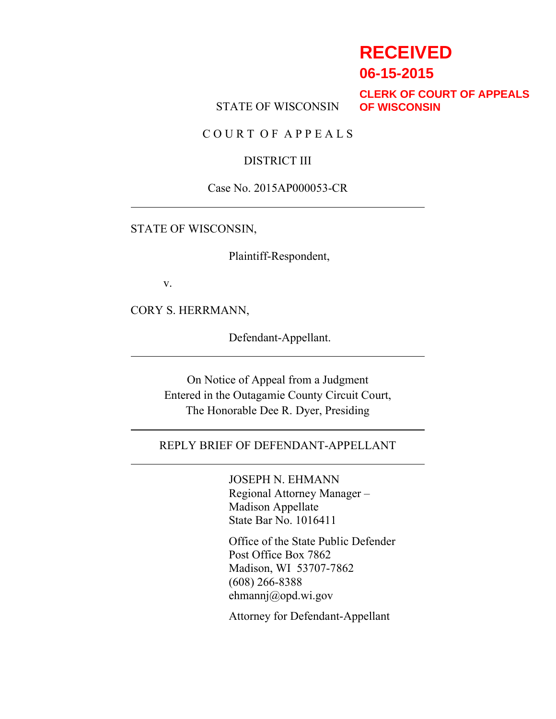# **RECEIVED**

**06-15-2015**

STATE OF WISCONSIN

**CLERK OF COURT OF APPEALS OF WISCONSIN**

C O U R T O F A P P E A L S

## DISTRICT III

#### Case No. 2015AP000053-CR

## STATE OF WISCONSIN,

Plaintiff-Respondent,

v.

CORY S. HERRMANN,

Defendant-Appellant.

On Notice of Appeal from a Judgment Entered in the Outagamie County Circuit Court, The Honorable Dee R. Dyer, Presiding

## REPLY BRIEF OF DEFENDANT-APPELLANT

JOSEPH N. EHMANN Regional Attorney Manager – Madison Appellate State Bar No. 1016411

Office of the State Public Defender Post Office Box 7862 Madison, WI 53707-7862 (608) 266-8388 ehmannj@opd.wi.gov

Attorney for Defendant-Appellant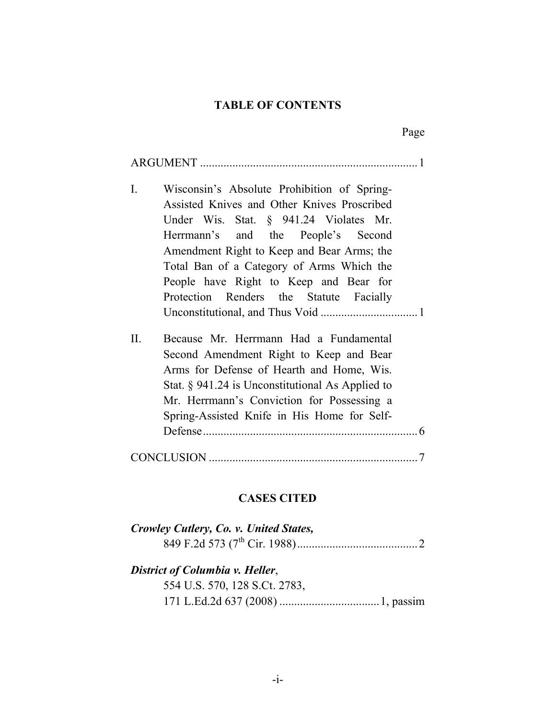## **TABLE OF CONTENTS**

|                                                                                                                                                                                                                                                                                                                                                                              | Page |
|------------------------------------------------------------------------------------------------------------------------------------------------------------------------------------------------------------------------------------------------------------------------------------------------------------------------------------------------------------------------------|------|
|                                                                                                                                                                                                                                                                                                                                                                              |      |
| $\mathbf{I}$ .<br>Wisconsin's Absolute Prohibition of Spring-<br>Assisted Knives and Other Knives Proscribed<br>Under Wis. Stat. § 941.24 Violates Mr.<br>Herrmann's and the People's Second<br>Amendment Right to Keep and Bear Arms; the<br>Total Ban of a Category of Arms Which the<br>People have Right to Keep and Bear for<br>Protection Renders the Statute Facially |      |
| II.<br>Because Mr. Herrmann Had a Fundamental<br>Second Amendment Right to Keep and Bear<br>Arms for Defense of Hearth and Home, Wis.<br>Stat. $\S$ 941.24 is Unconstitutional As Applied to<br>Mr. Herrmann's Conviction for Possessing a<br>Spring-Assisted Knife in His Home for Self-                                                                                    |      |
|                                                                                                                                                                                                                                                                                                                                                                              |      |

# **CASES CITED**

| Crowley Cutlery, Co. v. United States, |  |
|----------------------------------------|--|
|                                        |  |
| District of Columbia v. Heller,        |  |
| 554 U.S. 570, 128 S.Ct. 2783,          |  |
|                                        |  |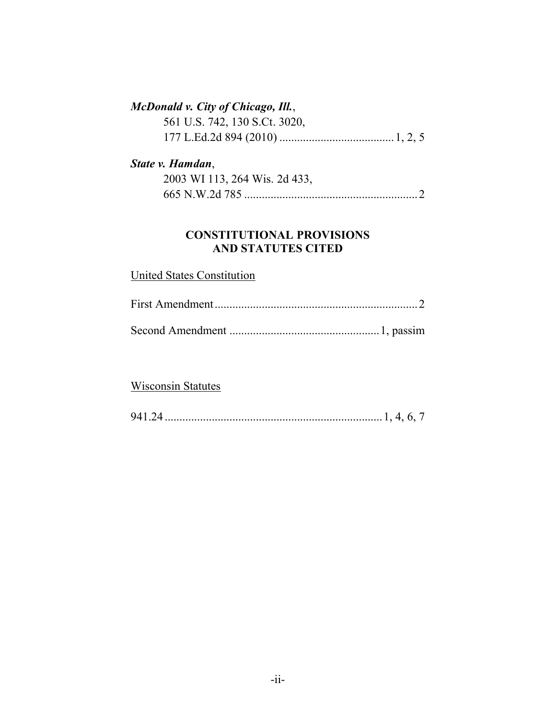# *McDonald v. City of Chicago, Ill.*,

| 561 U.S. 742, 130 S.Ct. 3020, |  |  |
|-------------------------------|--|--|
|                               |  |  |

## *State v. Hamdan*,

| 2003 WI 113, 264 Wis. 2d 433, |  |
|-------------------------------|--|
|                               |  |

## **CONSTITUTIONAL PROVISIONS AND STATUTES CITED**

## United States Constitution

Second Amendment ...................................................1, passim

## Wisconsin Statutes

| 941 |  |  |  |  |
|-----|--|--|--|--|
|-----|--|--|--|--|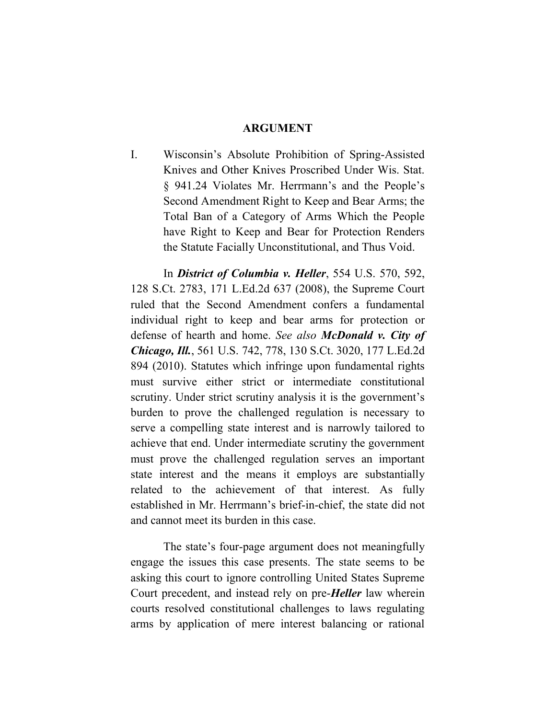#### **ARGUMENT**

I. Wisconsin's Absolute Prohibition of Spring-Assisted Knives and Other Knives Proscribed Under Wis. Stat. § 941.24 Violates Mr. Herrmann's and the People's Second Amendment Right to Keep and Bear Arms; the Total Ban of a Category of Arms Which the People have Right to Keep and Bear for Protection Renders the Statute Facially Unconstitutional, and Thus Void.

In *District of Columbia v. Heller*, 554 U.S. 570, 592, 128 S.Ct. 2783, 171 L.Ed.2d 637 (2008), the Supreme Court ruled that the Second Amendment confers a fundamental individual right to keep and bear arms for protection or defense of hearth and home. *See also McDonald v. City of Chicago, Ill.*, 561 U.S. 742, 778, 130 S.Ct. 3020, 177 L.Ed.2d 894 (2010). Statutes which infringe upon fundamental rights must survive either strict or intermediate constitutional scrutiny. Under strict scrutiny analysis it is the government's burden to prove the challenged regulation is necessary to serve a compelling state interest and is narrowly tailored to achieve that end. Under intermediate scrutiny the government must prove the challenged regulation serves an important state interest and the means it employs are substantially related to the achievement of that interest. As fully established in Mr. Herrmann's brief-in-chief, the state did not and cannot meet its burden in this case.

The state's four-page argument does not meaningfully engage the issues this case presents. The state seems to be asking this court to ignore controlling United States Supreme Court precedent, and instead rely on pre-*Heller* law wherein courts resolved constitutional challenges to laws regulating arms by application of mere interest balancing or rational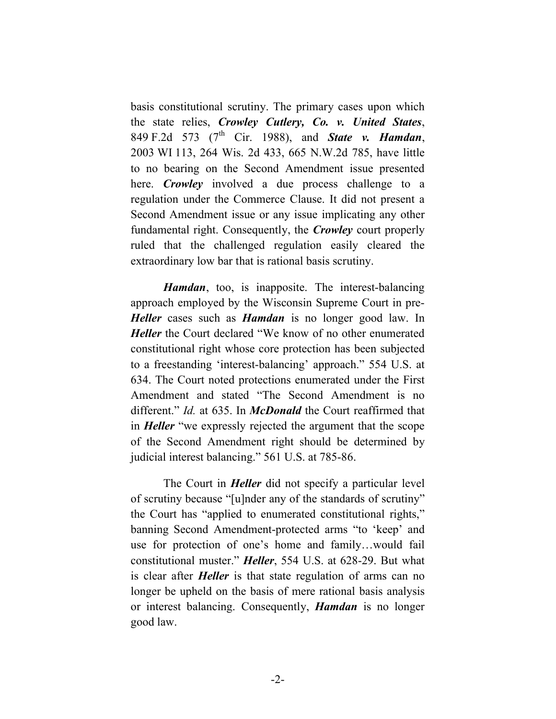basis constitutional scrutiny. The primary cases upon which the state relies, *Crowley Cutlery, Co. v. United States*, 849 F.2d 573 (7th Cir. 1988), and *State v. Hamdan*, 2003 WI 113, 264 Wis. 2d 433, 665 N.W.2d 785, have little to no bearing on the Second Amendment issue presented here. *Crowley* involved a due process challenge to a regulation under the Commerce Clause. It did not present a Second Amendment issue or any issue implicating any other fundamental right. Consequently, the *Crowley* court properly ruled that the challenged regulation easily cleared the extraordinary low bar that is rational basis scrutiny.

*Hamdan*, too, is inapposite. The interest-balancing approach employed by the Wisconsin Supreme Court in pre-*Heller* cases such as *Hamdan* is no longer good law. In *Heller* the Court declared "We know of no other enumerated constitutional right whose core protection has been subjected to a freestanding 'interest-balancing' approach." 554 U.S. at 634. The Court noted protections enumerated under the First Amendment and stated "The Second Amendment is no different." *Id.* at 635. In *McDonald* the Court reaffirmed that in *Heller* "we expressly rejected the argument that the scope of the Second Amendment right should be determined by judicial interest balancing." 561 U.S. at 785-86.

The Court in *Heller* did not specify a particular level of scrutiny because "[u]nder any of the standards of scrutiny" the Court has "applied to enumerated constitutional rights," banning Second Amendment-protected arms "to 'keep' and use for protection of one's home and family…would fail constitutional muster." *Heller*, 554 U.S. at 628-29. But what is clear after *Heller* is that state regulation of arms can no longer be upheld on the basis of mere rational basis analysis or interest balancing. Consequently, *Hamdan* is no longer good law.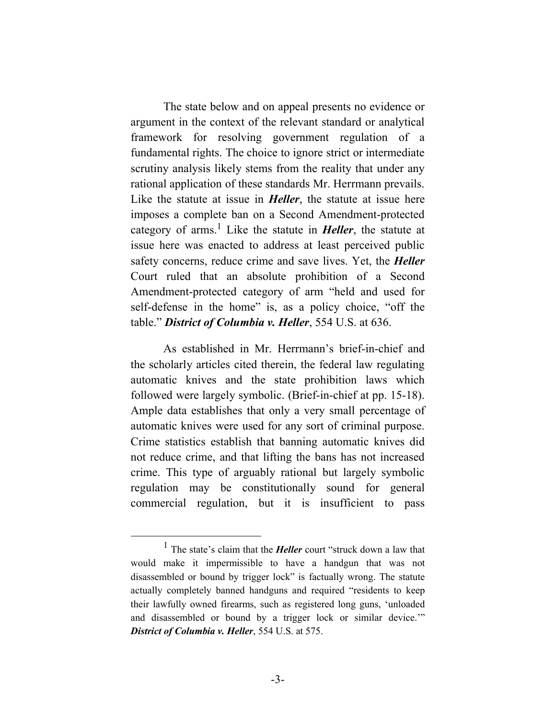The state below and on appeal presents no evidence or argument in the context of the relevant standard or analytical framework for resolving government regulation of a fundamental rights. The choice to ignore strict or intermediate scrutiny analysis likely stems from the reality that under any rational application of these standards Mr. Herrmann prevails. Like the statute at issue in *Heller*, the statute at issue here imposes a complete ban on a Second Amendment-protected category of arms.1 Like the statute in *Heller*, the statute at issue here was enacted to address at least perceived public safety concerns, reduce crime and save lives. Yet, the *Heller* Court ruled that an absolute prohibition of a Second Amendment-protected category of arm "held and used for self-defense in the home" is, as a policy choice, "off the table." *District of Columbia v. Heller*, 554 U.S. at 636.

As established in Mr. Herrmann's brief-in-chief and the scholarly articles cited therein, the federal law regulating automatic knives and the state prohibition laws which followed were largely symbolic. (Brief-in-chief at pp. 15-18). Ample data establishes that only a very small percentage of automatic knives were used for any sort of criminal purpose. Crime statistics establish that banning automatic knives did not reduce crime, and that lifting the bans has not increased crime. This type of arguably rational but largely symbolic regulation may be constitutionally sound for general commercial regulation, but it is insufficient to pass

 $\frac{1}{1}$ <sup>1</sup> The state's claim that the *Heller* court "struck down a law that would make it impermissible to have a handgun that was not disassembled or bound by trigger lock" is factually wrong. The statute actually completely banned handguns and required "residents to keep their lawfully owned firearms, such as registered long guns, 'unloaded and disassembled or bound by a trigger lock or similar device.'" *District of Columbia v. Heller*, 554 U.S. at 575.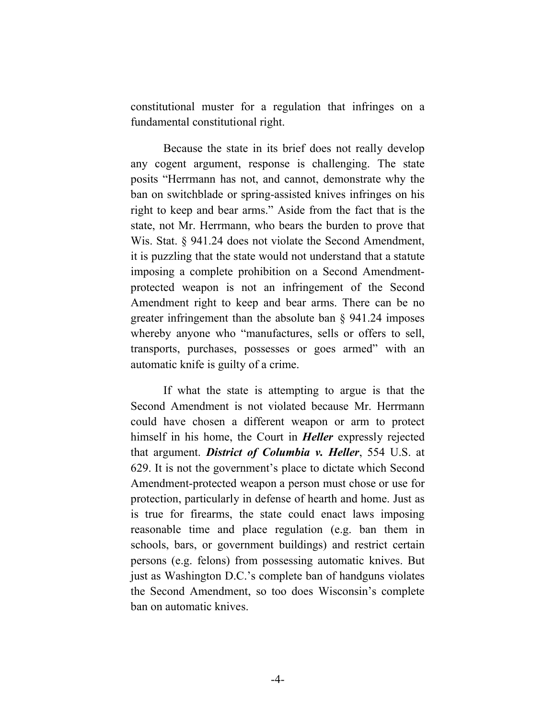constitutional muster for a regulation that infringes on a fundamental constitutional right.

Because the state in its brief does not really develop any cogent argument, response is challenging. The state posits "Herrmann has not, and cannot, demonstrate why the ban on switchblade or spring-assisted knives infringes on his right to keep and bear arms." Aside from the fact that is the state, not Mr. Herrmann, who bears the burden to prove that Wis. Stat. § 941.24 does not violate the Second Amendment, it is puzzling that the state would not understand that a statute imposing a complete prohibition on a Second Amendmentprotected weapon is not an infringement of the Second Amendment right to keep and bear arms. There can be no greater infringement than the absolute ban § 941.24 imposes whereby anyone who "manufactures, sells or offers to sell, transports, purchases, possesses or goes armed" with an automatic knife is guilty of a crime.

If what the state is attempting to argue is that the Second Amendment is not violated because Mr. Herrmann could have chosen a different weapon or arm to protect himself in his home, the Court in *Heller* expressly rejected that argument. *District of Columbia v. Heller*, 554 U.S. at 629. It is not the government's place to dictate which Second Amendment-protected weapon a person must chose or use for protection, particularly in defense of hearth and home. Just as is true for firearms, the state could enact laws imposing reasonable time and place regulation (e.g. ban them in schools, bars, or government buildings) and restrict certain persons (e.g. felons) from possessing automatic knives. But just as Washington D.C.'s complete ban of handguns violates the Second Amendment, so too does Wisconsin's complete ban on automatic knives.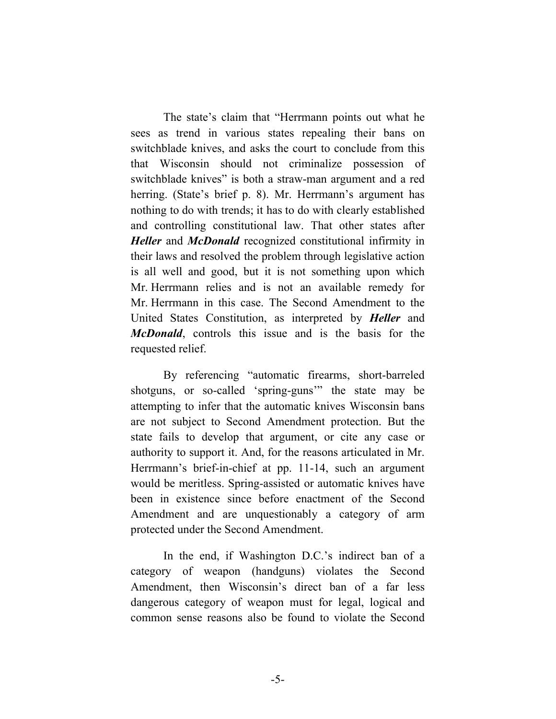The state's claim that "Herrmann points out what he sees as trend in various states repealing their bans on switchblade knives, and asks the court to conclude from this that Wisconsin should not criminalize possession of switchblade knives" is both a straw-man argument and a red herring. (State's brief p. 8). Mr. Herrmann's argument has nothing to do with trends; it has to do with clearly established and controlling constitutional law. That other states after *Heller* and *McDonald* recognized constitutional infirmity in their laws and resolved the problem through legislative action is all well and good, but it is not something upon which Mr. Herrmann relies and is not an available remedy for Mr. Herrmann in this case. The Second Amendment to the United States Constitution, as interpreted by *Heller* and *McDonald*, controls this issue and is the basis for the requested relief.

By referencing "automatic firearms, short-barreled shotguns, or so-called 'spring-guns'" the state may be attempting to infer that the automatic knives Wisconsin bans are not subject to Second Amendment protection. But the state fails to develop that argument, or cite any case or authority to support it. And, for the reasons articulated in Mr. Herrmann's brief-in-chief at pp. 11-14, such an argument would be meritless. Spring-assisted or automatic knives have been in existence since before enactment of the Second Amendment and are unquestionably a category of arm protected under the Second Amendment.

In the end, if Washington D.C.'s indirect ban of a category of weapon (handguns) violates the Second Amendment, then Wisconsin's direct ban of a far less dangerous category of weapon must for legal, logical and common sense reasons also be found to violate the Second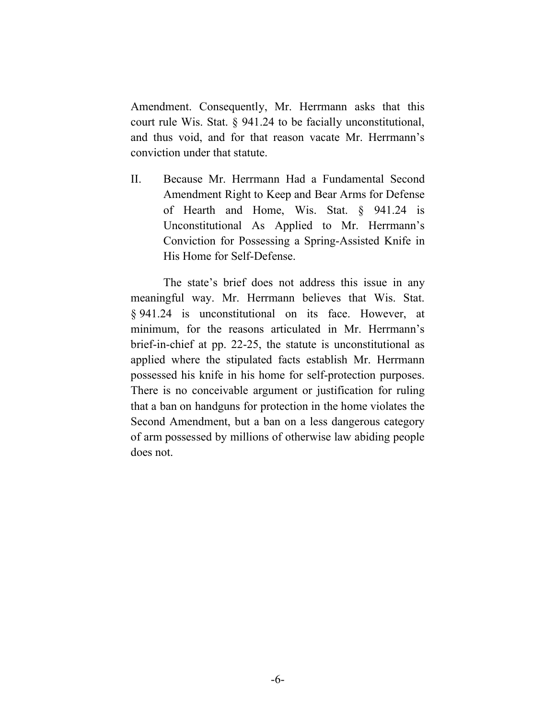Amendment. Consequently, Mr. Herrmann asks that this court rule Wis. Stat. § 941.24 to be facially unconstitutional, and thus void, and for that reason vacate Mr. Herrmann's conviction under that statute.

II. Because Mr. Herrmann Had a Fundamental Second Amendment Right to Keep and Bear Arms for Defense of Hearth and Home, Wis. Stat. § 941.24 is Unconstitutional As Applied to Mr. Herrmann's Conviction for Possessing a Spring-Assisted Knife in His Home for Self-Defense.

The state's brief does not address this issue in any meaningful way. Mr. Herrmann believes that Wis. Stat. § 941.24 is unconstitutional on its face. However, at minimum, for the reasons articulated in Mr. Herrmann's brief-in-chief at pp. 22-25, the statute is unconstitutional as applied where the stipulated facts establish Mr. Herrmann possessed his knife in his home for self-protection purposes. There is no conceivable argument or justification for ruling that a ban on handguns for protection in the home violates the Second Amendment, but a ban on a less dangerous category of arm possessed by millions of otherwise law abiding people does not.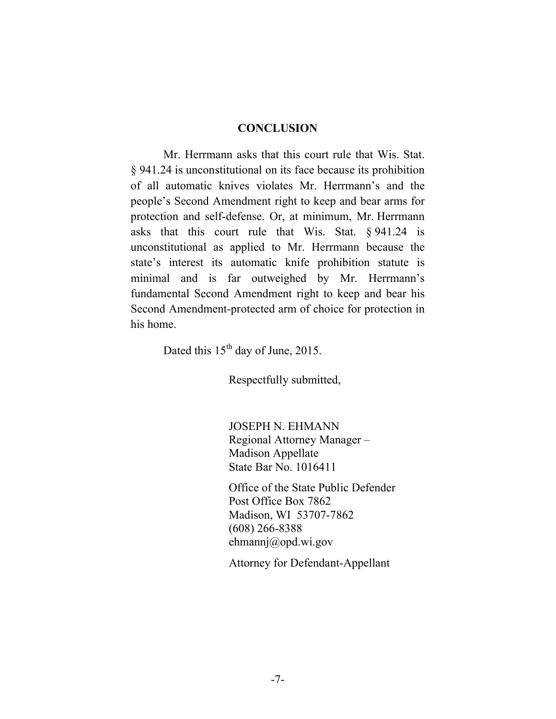#### **CONCLUSION**

Mr. Herrmann asks that this court rule that Wis. Stat. § 941.24 is unconstitutional on its face because its prohibition of all automatic knives violates Mr. Herrmann's and the people's Second Amendment right to keep and bear arms for protection and self-defense. Or, at minimum, Mr. Herrmann asks that this court rule that Wis. Stat. § 941.24 is unconstitutional as applied to Mr. Herrmann because the state's interest its automatic knife prohibition statute is minimal and is far outweighed by Mr. Herrmann's fundamental Second Amendment right to keep and bear his Second Amendment-protected arm of choice for protection in his home.

Dated this 15<sup>th</sup> day of June, 2015.

Respectfully submitted,

JOSEPH N. EHMANN Regional Attorney Manager – Madison Appellate State Bar No. 1016411

Office of the State Public Defender Post Office Box 7862 Madison, WI 53707-7862 (608) 266-8388 ehmannj@opd.wi.gov

Attorney for Defendant-Appellant